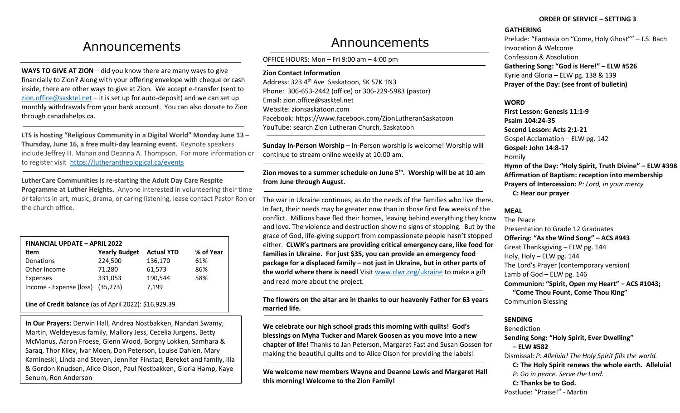# Announcements

**WAYS TO GIVE AT ZION** – did you know there are many ways to give financially to Zion? Along with your offering envelope with cheque or cash inside, there are other ways to give at Zion. We accept e-transfer (sent to [zion.office@sasktel.net](mailto:zion.office@sasktel.net) – it is set up for auto-deposit) and we can set up monthly withdrawals from your bank account. You can also donate to Zion through canadahelps.ca.

**LTS is hosting "Religious Community in a Digital World" Monday June 13 – Thursday, June 16, a free multi-day learning event.** Keynote speakers include Jeffrey H. Mahan and Deanna A. Thompson. For more information or to register visit <https://lutherantheological.ca/events>

**LutherCare Communities is re-starting the Adult Day Care Respite Programme at Luther Heights.** Anyone interested in volunteering their time or talents in art, music, drama, or caring listening, lease contact Pastor Ron or the church office.

| <b>FINANCIAL UPDATE - APRIL 2022</b> |                      |                   |           |
|--------------------------------------|----------------------|-------------------|-----------|
| Item                                 | <b>Yearly Budget</b> | <b>Actual YTD</b> | % of Year |
| Donations                            | 224,500              | 136,170           | 61%       |
| Other Income                         | 71,280               | 61,573            | 86%       |
| Expenses                             | 331,053              | 190,544           | 58%       |
| Income - Expense (loss) (35,273)     |                      | 7,199             |           |

**Line of Credit balance** (as of April 2022): \$16,929.39

**In Our Prayers:** Derwin Hall, Andrea Nostbakken, Nandari Swamy, Martin, Weldeyesus family, Mallory Jess, Cecelia Jurgens, Betty McManus, Aaron Froese, Glenn Wood, Borgny Lokken, Samhara & Saraq, Thor Kliev, Ivar Moen, Don Peterson, Louise Dahlen, Mary Kamineski, Linda and Steven, Jennifer Finstad, Bereket and family, Illa & Gordon Knudsen, Alice Olson, Paul Nostbakken, Gloria Hamp, Kaye Senum, Ron Anderson

# Announcements

OFFICE HOURS: Mon – Fri 9:00 am – 4:00 pm

**Zion Contact Information**

Address: 323 4<sup>th</sup> Ave Saskatoon, SK S7K 1N3 Phone: 306-653-2442 (office) or 306-229-5983 (pastor) Email[: zion.office@sasktel.net](mailto:zion.office@sasktel.net) Website: zionsaskatoon.com Facebook:<https://www.facebook.com/ZionLutheranSaskatoon> YouTube[: search](https://www.youtube.com/channel/UCo7oFRb9WluqtWmHpv-yVgw) Zion Lutheran Church, Saskatoon

**Sunday In-Person Worship** – In-Person worship is welcome! Worship will continue to stream online weekly at 10:00 am.

**Zion moves to a summer schedule on June 5th. Worship will be at 10 am from June through August.** 

The war in Ukraine continues, as do the needs of the families who live there. In fact, their needs may be greater now than in those first few weeks of the conflict. Millions have fled their homes, leaving behind everything they know and love. The violence and destruction show no signs of stopping. But by the grace of God, life-giving support from compassionate people hasn't stopped either. **CLWR's partners are providing critical emergency care, like food for families in Ukraine. For just \$35, you can provide an emergency food package for a displaced family – not just in Ukraine, but in other parts of the world where there is need!** Visi[t www.clwr.org/ukraine](http://www.clwr.org/ukraine) to make a gift and read more about the project.

**The flowers on the altar are in thanks to our heavenly Father for 63 years married life.**

**We celebrate our high school grads this morning with quilts! God's blessings on Myha Tucker and Marek Goosen as you move into a new chapter of life!** Thanks to Jan Peterson, Margaret Fast and Susan Gossen for making the beautiful quilts and to Alice Olson for providing the labels!

**We welcome new members Wayne and Deanne Lewis and Margaret Hall this morning! Welcome to the Zion Family!**

## **ORDER OF SERVICE – SETTING 3**

# **GATHERING**

Prelude: "Fantasia on "Come, Holy Ghost"" – J.S. Bach Invocation & Welcome Confession & Absolution **Gathering Song: "God is Here!" – ELW #526**  Kyrie and Gloria – ELW pg. 138 & 139 **Prayer of the Day: (see front of bulletin)**

## **WORD**

**First Lesson: Genesis 11:1-9 Psalm 104:24-35 Second Lesson: Acts 2:1-21** Gospel Acclamation – ELW pg. 142 **Gospel: John 14:8-17** Homily **Hymn of the Day: "Holy Spirit, Truth Divine" – ELW #398 Affirmation of Baptism: reception into membership Prayers of Intercession:** *P: Lord, in your mercy* **C: Hear our prayer**

# **MEAL**

The Peace Presentation to Grade 12 Graduates **Offering: "As the Wind Song" – ACS #943** Great Thanksgiving – ELW pg. 144 Holy, Holy – ELW pg. 144 The Lord's Prayer (contemporary version) Lamb of God – ELW pg. 146 **Communion: "Spirit, Open my Heart" – ACS #1043; "Come Thou Fount, Come Thou King"** Communion Blessing

# **SENDING**

Benediction **Sending Song: "Holy Spirit, Ever Dwelling" – ELW #582** Dismissal: *P: Alleluia! The Holy Spirit fills the world.*   **C: The Holy Spirit renews the whole earth. Alleluia!** *P: Go in peace. Serve the Lord.* **C: Thanks be to God.**  Postlude: "Praise!" - Martin